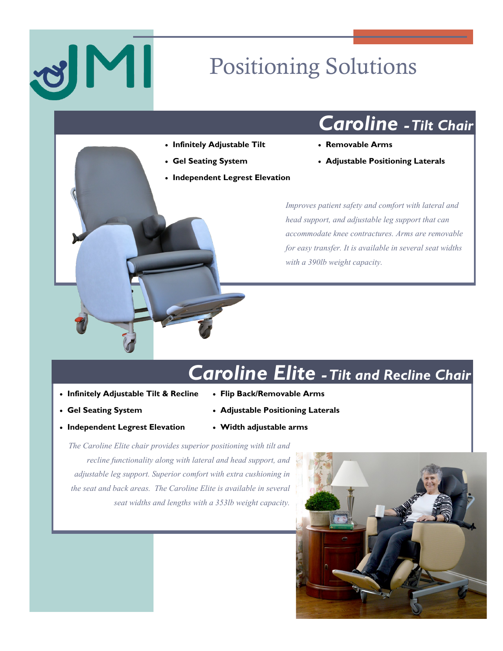# Positioning Solutions

## *Caroline -Tilt Chair*

- **Infinitely Adjustable Tilt**
- **Gel Seating System**
- **Independent Legrest Elevation**
- **Removable Arms**
- **Adjustable Positioning Laterals**

*Improves patient safety and comfort with lateral and head support, and adjustable leg support that can accommodate knee contractures. Arms are removable for easy transfer. It is available in several seat widths with a 390lb weight capacity.* 

## *Caroline Elite -Tilt and Recline Chair*

- **Infinitely Adjustable Tilt & Recline**
- **Gel Seating System**
- **Independent Legrest Elevation**
- **Flip Back/Removable Arms**
- **Adjustable Positioning Laterals**
- **Width adjustable arms**

*The Caroline Elite chair provides superior positioning with tilt and recline functionality along with lateral and head support, and adjustable leg support. Superior comfort with extra cushioning in the seat and back areas. The Caroline Elite is available in several seat widths and lengths with a 353lb weight capacity.*